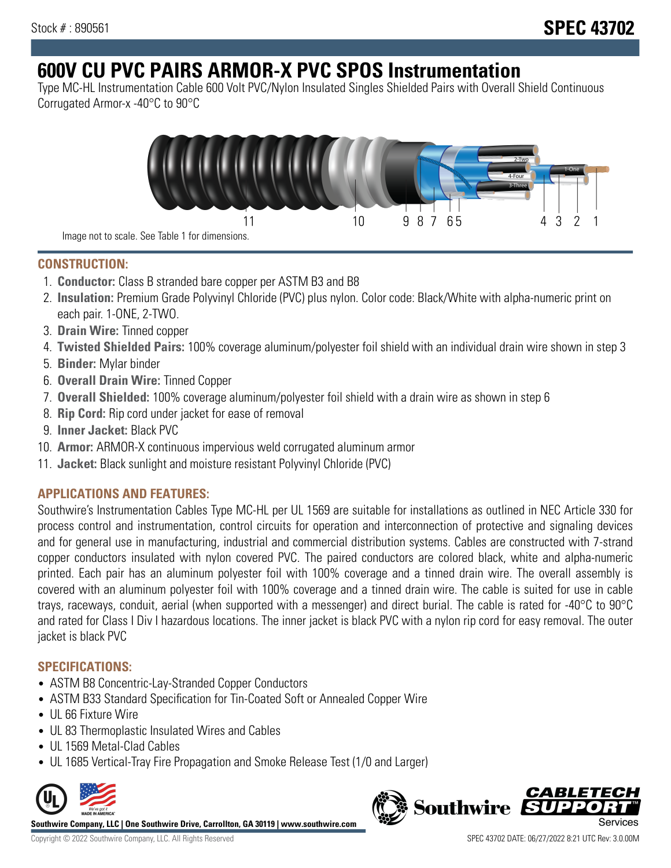# **600V CU PVC PAIRS ARMOR-X PVC SPOS Instrumentation**

Type MC-HL Instrumentation Cable 600 Volt PVC/Nylon Insulated Singles Shielded Pairs with Overall Shield Continuous Corrugated Armor-x -40°C to 90°C



**CONSTRUCTION:**

- 1. **Conductor:** Class B stranded bare copper per ASTM B3 and B8
- 2. **Insulation:** Premium Grade Polyvinyl Chloride (PVC) plus nylon. Color code: Black/White with alpha-numeric print on each pair. 1-ONE, 2-TWO.
- 3. **Drain Wire:** Tinned copper
- 4. **Twisted Shielded Pairs:** 100% coverage aluminum/polyester foil shield with an individual drain wire shown in step 3
- 5. **Binder:** Mylar binder
- 6. **Overall Drain Wire:** Tinned Copper
- 7. **Overall Shielded:** 100% coverage aluminum/polyester foil shield with a drain wire as shown in step 6
- 8. **Rip Cord:** Rip cord under jacket for ease of removal
- 9. **Inner Jacket:** Black PVC
- 10. **Armor:** ARMOR-X continuous impervious weld corrugated aluminum armor
- 11. **Jacket:** Black sunlight and moisture resistant Polyvinyl Chloride (PVC)

# **APPLICATIONS AND FEATURES:**

Southwire's Instrumentation Cables Type MC-HL per UL 1569 are suitable for installations as outlined in NEC Article 330 for process control and instrumentation, control circuits for operation and interconnection of protective and signaling devices and for general use in manufacturing, industrial and commercial distribution systems. Cables are constructed with 7-strand copper conductors insulated with nylon covered PVC. The paired conductors are colored black, white and alpha-numeric printed. Each pair has an aluminum polyester foil with 100% coverage and a tinned drain wire. The overall assembly is covered with an aluminum polyester foil with 100% coverage and a tinned drain wire. The cable is suited for use in cable trays, raceways, conduit, aerial (when supported with a messenger) and direct burial. The cable is rated for -40°C to 90°C and rated for Class I Div I hazardous locations. The inner jacket is black PVC with a nylon rip cord for easy removal. The outer jacket is black PVC

## **SPECIFICATIONS:**

- ASTM B8 Concentric-Lay-Stranded Copper Conductors
- ASTM B33 Standard Specification for Tin-Coated Soft or Annealed Copper Wire
- UL 66 Fixture Wire
- UL 83 Thermoplastic Insulated Wires and Cables
- UL 1569 Metal-Clad Cables
- UL 1685 Vertical-Tray Fire Propagation and Smoke Release Test (1/0 and Larger)



**Southwire Company, LLC | One Southwire Drive, Carrollton, GA 30119 | www.southwire.com**